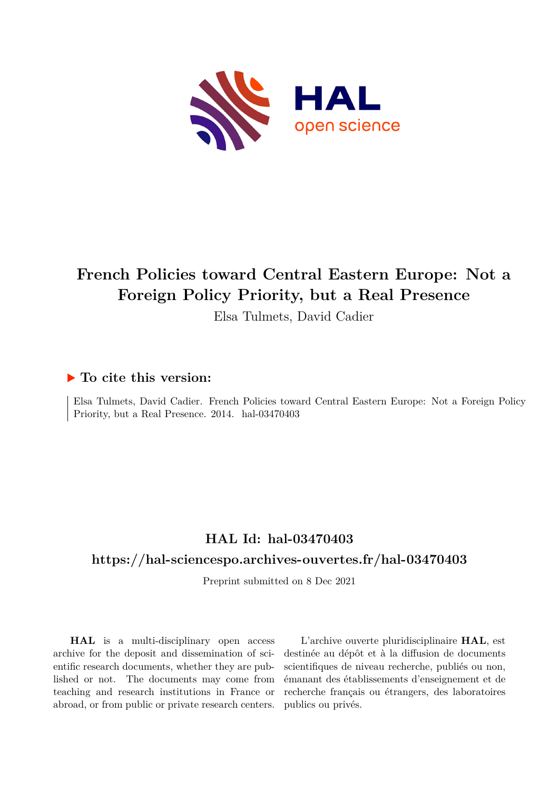

# **French Policies toward Central Eastern Europe: Not a Foreign Policy Priority, but a Real Presence**

Elsa Tulmets, David Cadier

# **To cite this version:**

Elsa Tulmets, David Cadier. French Policies toward Central Eastern Europe: Not a Foreign Policy Priority, but a Real Presence. 2014. hal-03470403

# **HAL Id: hal-03470403**

## **<https://hal-sciencespo.archives-ouvertes.fr/hal-03470403>**

Preprint submitted on 8 Dec 2021

**HAL** is a multi-disciplinary open access archive for the deposit and dissemination of scientific research documents, whether they are published or not. The documents may come from teaching and research institutions in France or abroad, or from public or private research centers.

L'archive ouverte pluridisciplinaire **HAL**, est destinée au dépôt et à la diffusion de documents scientifiques de niveau recherche, publiés ou non, émanant des établissements d'enseignement et de recherche français ou étrangers, des laboratoires publics ou privés.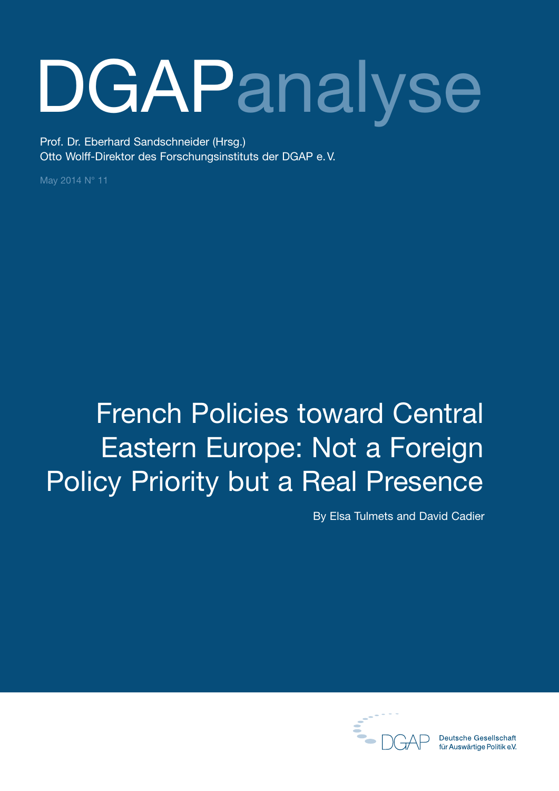# **DGAPanalyse**

Prof. Dr. Eberhard Sandschneider (Hrsg.) Otto Wolff-Direktor des Forschungsinstituts der DGAP e.V.

May 2014 N° 11

# French Policies toward Central Eastern Europe: Not a Foreign Policy Priority but a Real Presence

By Elsa Tulmets and David Cadier



**Deutsche Gesellschaft** für Auswärtige Politik e.V.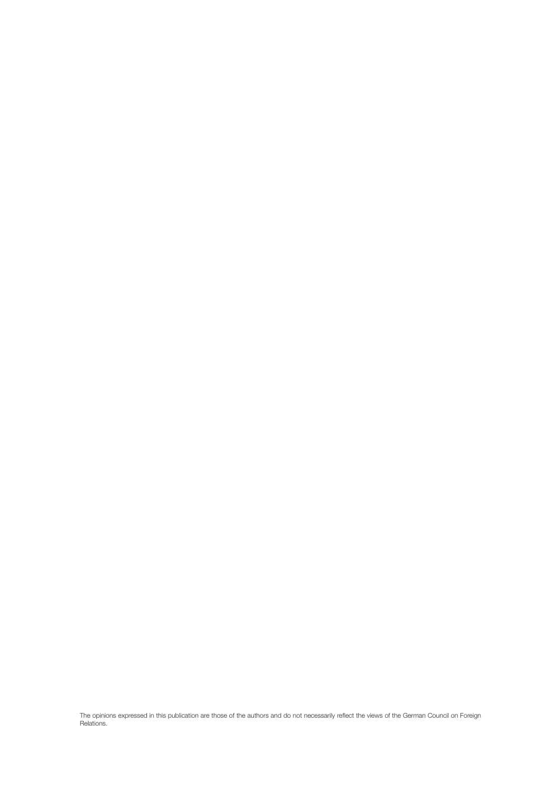The opinions expressed in this publication are those of the authors and do not necessarily reflect the views of the German Council on Foreign Relations.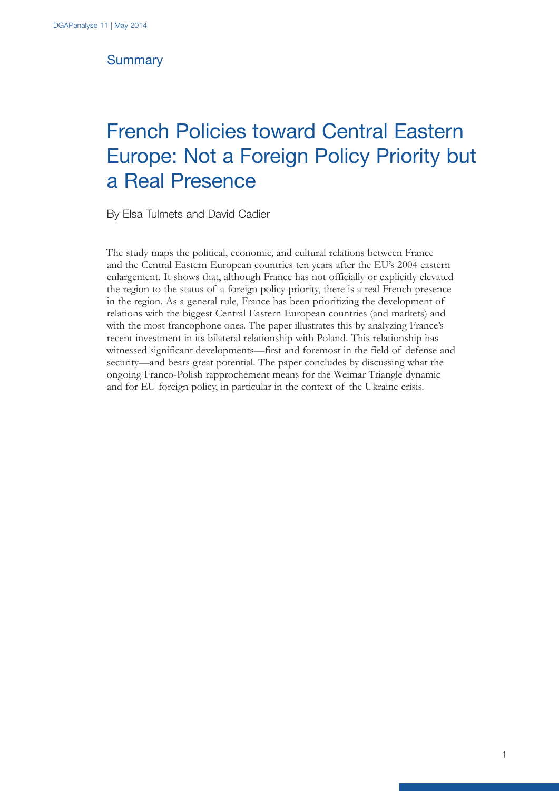## **Summary**

# French Policies toward Central Eastern Europe: Not a Foreign Policy Priority but a Real Presence

By Elsa Tulmets and David Cadier

The study maps the political, economic, and cultural relations between France and the Central Eastern European countries ten years after the EU's 2004 eastern enlargement. It shows that, although France has not officially or explicitly elevated the region to the status of a foreign policy priority, there is a real French presence in the region. As a general rule, France has been prioritizing the development of relations with the biggest Central Eastern European countries (and markets) and with the most francophone ones. The paper illustrates this by analyzing France's recent investment in its bilateral relationship with Poland. This relationship has witnessed significant developments—first and foremost in the field of defense and security—and bears great potential. The paper concludes by discussing what the ongoing Franco-Polish rapprochement means for the Weimar Triangle dynamic and for EU foreign policy, in particular in the context of the Ukraine crisis.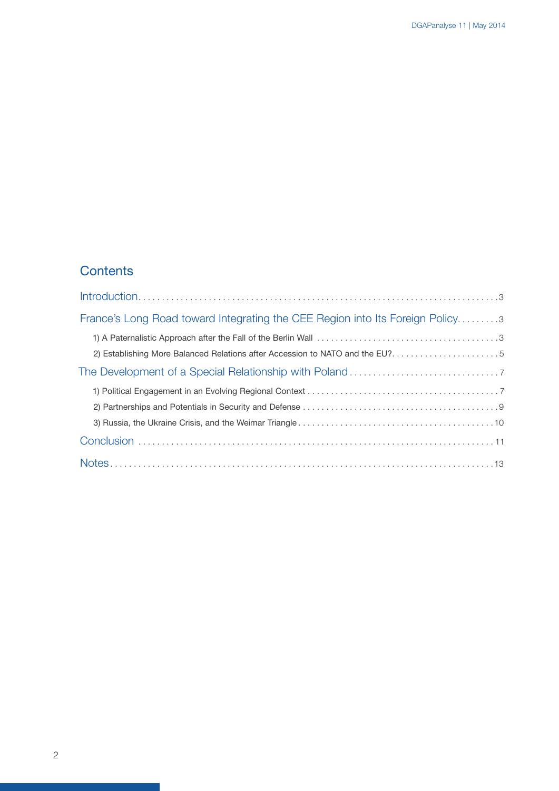# **Contents**

| France's Long Road toward Integrating the CEE Region into Its Foreign Policy3 |
|-------------------------------------------------------------------------------|
|                                                                               |
| 2) Establishing More Balanced Relations after Accession to NATO and the EU?5  |
|                                                                               |
|                                                                               |
|                                                                               |
|                                                                               |
|                                                                               |
|                                                                               |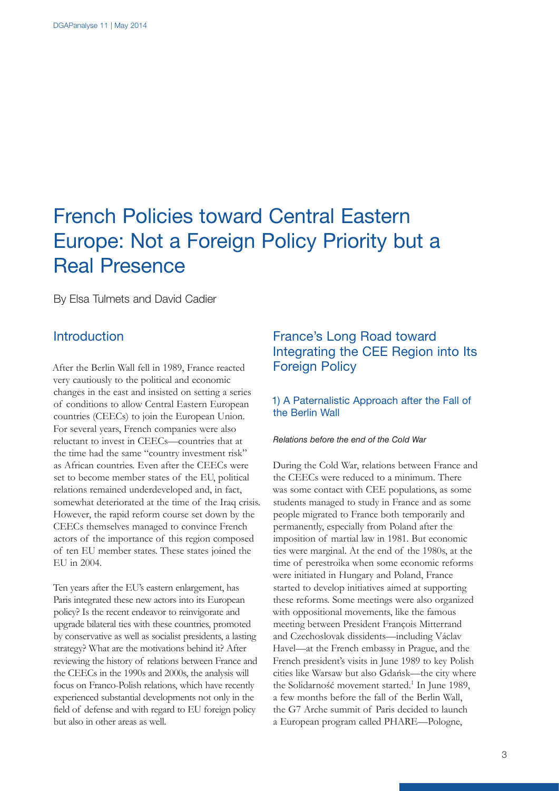# French Policies toward Central Eastern Europe: Not a Foreign Policy Priority but a Real Presence

By Elsa Tulmets and David Cadier

### **Introduction**

After the Berlin Wall fell in 1989, France reacted very cautiously to the political and economic changes in the east and insisted on setting a series of conditions to allow Central Eastern European countries (CEECs) to join the European Union. For several years, French companies were also reluctant to invest in CEECs—countries that at the time had the same "country investment risk" as African countries. Even after the CEECs were set to become member states of the EU, political relations remained underdeveloped and, in fact, somewhat deteriorated at the time of the Iraq crisis. However, the rapid reform course set down by the CEECs themselves managed to convince French actors of the importance of this region composed of ten EU member states. These states joined the EU in 2004.

Ten years after the EU's eastern enlargement, has Paris integrated these new actors into its European policy? Is the recent endeavor to reinvigorate and upgrade bilateral ties with these countries, promoted by conservative as well as socialist presidents, a lasting strategy? What are the motivations behind it? After reviewing the history of relations between France and the CEECs in the 1990s and 2000s, the analysis will focus on Franco-Polish relations, which have recently experienced substantial developments not only in the field of defense and with regard to EU foreign policy but also in other areas as well.

# France's Long Road toward Integrating the CEE Region into Its Foreign Policy

#### 1) A Paternalistic Approach after the Fall of the Berlin Wall

#### *Relations before the end of the Cold War*

During the Cold War, relations between France and the CEECs were reduced to a minimum. There was some contact with CEE populations, as some students managed to study in France and as some people migrated to France both temporarily and permanently, especially from Poland after the imposition of martial law in 1981. But economic ties were marginal. At the end of the 1980s, at the time of perestroika when some economic reforms were initiated in Hungary and Poland, France started to develop initiatives aimed at supporting these reforms. Some meetings were also organized with oppositional movements, like the famous meeting between President François Mitterrand and Czechoslovak dissidents—including Václav Havel—at the French embassy in Prague, and the French president's visits in June 1989 to key Polish cities like Warsaw but also Gdańsk—the city where the Solidarność movement started.<sup>1</sup> In June 1989, a few months before the fall of the Berlin Wall, the G7 Arche summit of Paris decided to launch a European program called PHARE—Pologne,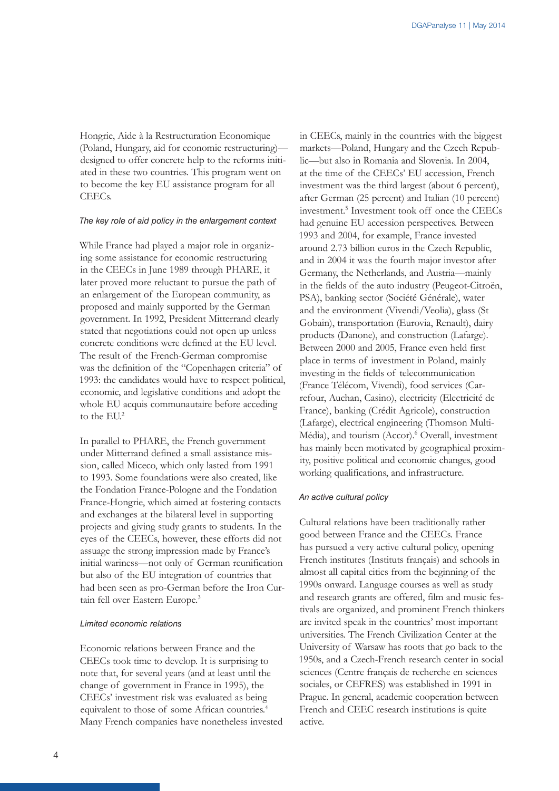Hongrie, Aide à la Restructuration Economique (Poland, Hungary, aid for economic restructuring) designed to offer concrete help to the reforms initiated in these two countries. This program went on to become the key EU assistance program for all CEECs.

#### *The key role of aid policy in the enlargement context*

While France had played a major role in organizing some assistance for economic restructuring in the CEECs in June 1989 through PHARE, it later proved more reluctant to pursue the path of an enlargement of the European community, as proposed and mainly supported by the German government. In 1992, President Mitterrand clearly stated that negotiations could not open up unless concrete conditions were defined at the EU level. The result of the French-German compromise was the definition of the "Copenhagen criteria" of 1993: the candidates would have to respect political, economic, and legislative conditions and adopt the whole EU acquis communautaire before acceding to the EU.<sup>2</sup>

In parallel to PHARE, the French government under Mitterrand defined a small assistance mission, called Miceco, which only lasted from 1991 to 1993. Some foundations were also created, like the Fondation France-Pologne and the Fondation France-Hongrie, which aimed at fostering contacts and exchanges at the bilateral level in supporting projects and giving study grants to students. In the eyes of the CEECs, however, these efforts did not assuage the strong impression made by France's initial wariness—not only of German reunification but also of the EU integration of countries that had been seen as pro-German before the Iron Curtain fell over Eastern Europe.3

#### *Limited economic relations*

Economic relations between France and the CEECs took time to develop. It is surprising to note that, for several years (and at least until the change of government in France in 1995), the CEECs' investment risk was evaluated as being equivalent to those of some African countries.4 Many French companies have nonetheless invested

in CEECs, mainly in the countries with the biggest markets—Poland, Hungary and the Czech Republic—but also in Romania and Slovenia. In 2004, at the time of the CEECs' EU accession, French investment was the third largest (about 6 percent), after German (25 percent) and Italian (10 percent) investment.5 Investment took off once the CEECs had genuine EU accession perspectives. Between 1993 and 2004, for example, France invested around 2.73 billion euros in the Czech Republic, and in 2004 it was the fourth major investor after Germany, the Netherlands, and Austria—mainly in the fields of the auto industry (Peugeot-Citroën, PSA), banking sector (Société Générale), water and the environment (Vivendi/Veolia), glass (St Gobain), transportation (Eurovia, Renault), dairy products (Danone), and construction (Lafarge). Between 2000 and 2005, France even held first place in terms of investment in Poland, mainly investing in the fields of telecommunication (France Télécom, Vivendi), food services (Carrefour, Auchan, Casino), electricity (Electricité de France), banking (Crédit Agricole), construction (Lafarge), electrical engineering (Thomson Multi-Média), and tourism (Accor).<sup>6</sup> Overall, investment has mainly been motivated by geographical proximity, positive political and economic changes, good working qualifications, and infrastructure.

#### *An active cultural policy*

Cultural relations have been traditionally rather good between France and the CEECs. France has pursued a very active cultural policy, opening French institutes (Instituts français) and schools in almost all capital cities from the beginning of the 1990s onward. Language courses as well as study and research grants are offered, film and music festivals are organized, and prominent French thinkers are invited speak in the countries' most important universities. The French Civilization Center at the University of Warsaw has roots that go back to the 1950s, and a Czech-French research center in social sciences (Centre français de recherche en sciences sociales, or CEFRES) was established in 1991 in Prague. In general, academic cooperation between French and CEEC research institutions is quite active.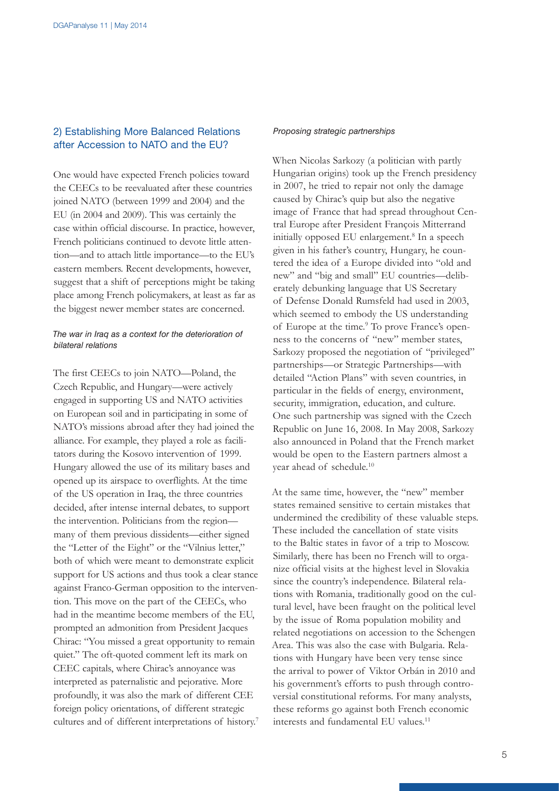#### 2) Establishing More Balanced Relations after Accession to NATO and the EU?

One would have expected French policies toward the CEECs to be reevaluated after these countries joined NATO (between 1999 and 2004) and the EU (in 2004 and 2009). This was certainly the case within official discourse. In practice, however, French politicians continued to devote little attention—and to attach little importance—to the EU's eastern members. Recent developments, however, suggest that a shift of perceptions might be taking place among French policymakers, at least as far as the biggest newer member states are concerned.

#### *The war in Iraq as a context for the deterioration of bilateral relations*

The first CEECs to join NATO—Poland, the Czech Republic, and Hungary—were actively engaged in supporting US and NATO activities on European soil and in participating in some of NATO's missions abroad after they had joined the alliance. For example, they played a role as facilitators during the Kosovo intervention of 1999. Hungary allowed the use of its military bases and opened up its airspace to overflights. At the time of the US operation in Iraq, the three countries decided, after intense internal debates, to support the intervention. Politicians from the region many of them previous dissidents—either signed the "Letter of the Eight" or the "Vilnius letter," both of which were meant to demonstrate explicit support for US actions and thus took a clear stance against Franco-German opposition to the intervention. This move on the part of the CEECs, who had in the meantime become members of the EU, prompted an admonition from President Jacques Chirac: "You missed a great opportunity to remain quiet." The oft-quoted comment left its mark on CEEC capitals, where Chirac's annoyance was interpreted as paternalistic and pejorative. More profoundly, it was also the mark of different CEE foreign policy orientations, of different strategic cultures and of different interpretations of history.<sup>7</sup>

#### *Proposing strategic partnerships*

When Nicolas Sarkozy (a politician with partly Hungarian origins) took up the French presidency in 2007, he tried to repair not only the damage caused by Chirac's quip but also the negative image of France that had spread throughout Central Europe after President François Mitterrand initially opposed EU enlargement.8 In a speech given in his father's country, Hungary, he countered the idea of a Europe divided into "old and new" and "big and small" EU countries—deliberately debunking language that US Secretary of Defense Donald Rumsfeld had used in 2003, which seemed to embody the US understanding of Europe at the time.<sup>9</sup> To prove France's openness to the concerns of "new" member states, Sarkozy proposed the negotiation of "privileged" partnerships—or Strategic Partnerships—with detailed "Action Plans" with seven countries, in particular in the fields of energy, environment, security, immigration, education, and culture. One such partnership was signed with the Czech Republic on June 16, 2008. In May 2008, Sarkozy also announced in Poland that the French market would be open to the Eastern partners almost a year ahead of schedule.10

At the same time, however, the "new" member states remained sensitive to certain mistakes that undermined the credibility of these valuable steps. These included the cancellation of state visits to the Baltic states in favor of a trip to Moscow. Similarly, there has been no French will to organize official visits at the highest level in Slovakia since the country's independence. Bilateral relations with Romania, traditionally good on the cultural level, have been fraught on the political level by the issue of Roma population mobility and related negotiations on accession to the Schengen Area. This was also the case with Bulgaria. Relations with Hungary have been very tense since the arrival to power of Viktor Orbán in 2010 and his government's efforts to push through controversial constitutional reforms. For many analysts, these reforms go against both French economic interests and fundamental EU values.11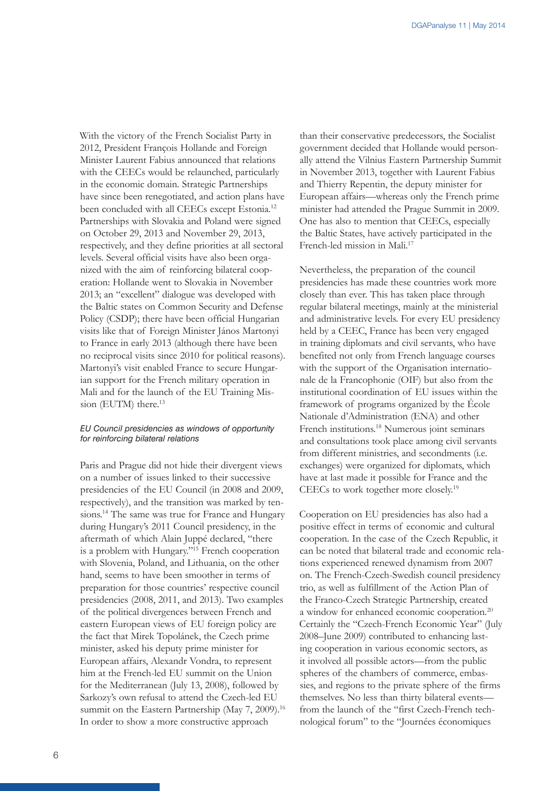With the victory of the French Socialist Party in 2012, President François Hollande and Foreign Minister Laurent Fabius announced that relations with the CEECs would be relaunched, particularly in the economic domain. Strategic Partnerships have since been renegotiated, and action plans have been concluded with all CEECs except Estonia.<sup>12</sup> Partnerships with Slovakia and Poland were signed on October 29, 2013 and November 29, 2013, respectively, and they define priorities at all sectoral levels. Several official visits have also been organized with the aim of reinforcing bilateral cooperation: Hollande went to Slovakia in November 2013; an "excellent" dialogue was developed with the Baltic states on Common Security and Defense Policy (CSDP); there have been official Hungarian visits like that of Foreign Minister János Martonyi to France in early 2013 (although there have been no reciprocal visits since 2010 for political reasons). Martonyi's visit enabled France to secure Hungarian support for the French military operation in Mali and for the launch of the EU Training Mission (EUTM) there.<sup>13</sup>

#### *EU Council presidencies as windows of opportunity for reinforcing bilateral relations*

Paris and Prague did not hide their divergent views on a number of issues linked to their successive presidencies of the EU Council (in 2008 and 2009, respectively), and the transition was marked by tensions.<sup>14</sup> The same was true for France and Hungary during Hungary's 2011 Council presidency, in the aftermath of which Alain Juppé declared, "there is a problem with Hungary."15 French cooperation with Slovenia, Poland, and Lithuania, on the other hand, seems to have been smoother in terms of preparation for those countries' respective council presidencies (2008, 2011, and 2013). Two examples of the political divergences between French and eastern European views of EU foreign policy are the fact that Mirek Topolánek, the Czech prime minister, asked his deputy prime minister for European affairs, Alexandr Vondra, to represent him at the French-led EU summit on the Union for the Mediterranean (July 13, 2008), followed by Sarkozy's own refusal to attend the Czech-led EU summit on the Eastern Partnership (May 7, 2009).<sup>16</sup> In order to show a more constructive approach

than their conservative predecessors, the Socialist government decided that Hollande would personally attend the Vilnius Eastern Partnership Summit in November 2013, together with Laurent Fabius and Thierry Repentin, the deputy minister for European affairs—whereas only the French prime minister had attended the Prague Summit in 2009. One has also to mention that CEECs, especially the Baltic States, have actively participated in the French-led mission in Mali.<sup>17</sup>

Nevertheless, the preparation of the council presidencies has made these countries work more closely than ever. This has taken place through regular bilateral meetings, mainly at the ministerial and administrative levels. For every EU presidency held by a CEEC, France has been very engaged in training diplomats and civil servants, who have benefited not only from French language courses with the support of the Organisation internationale de la Francophonie (OIF) but also from the institutional coordination of EU issues within the framework of programs organized by the École Nationale d'Administration (ENA) and other French institutions.18 Numerous joint seminars and consultations took place among civil servants from different ministries, and secondments (i.e. exchanges) were organized for diplomats, which have at last made it possible for France and the CEECs to work together more closely.19

Cooperation on EU presidencies has also had a positive effect in terms of economic and cultural cooperation. In the case of the Czech Republic, it can be noted that bilateral trade and economic relations experienced renewed dynamism from 2007 on. The French-Czech-Swedish council presidency trio, as well as fulfillment of the Action Plan of the Franco-Czech Strategic Partnership, created a window for enhanced economic cooperation.20 Certainly the "Czech-French Economic Year" (July 2008–June 2009) contributed to enhancing lasting cooperation in various economic sectors, as it involved all possible actors—from the public spheres of the chambers of commerce, embassies, and regions to the private sphere of the firms themselves. No less than thirty bilateral events from the launch of the "first Czech-French technological forum" to the "Journées économiques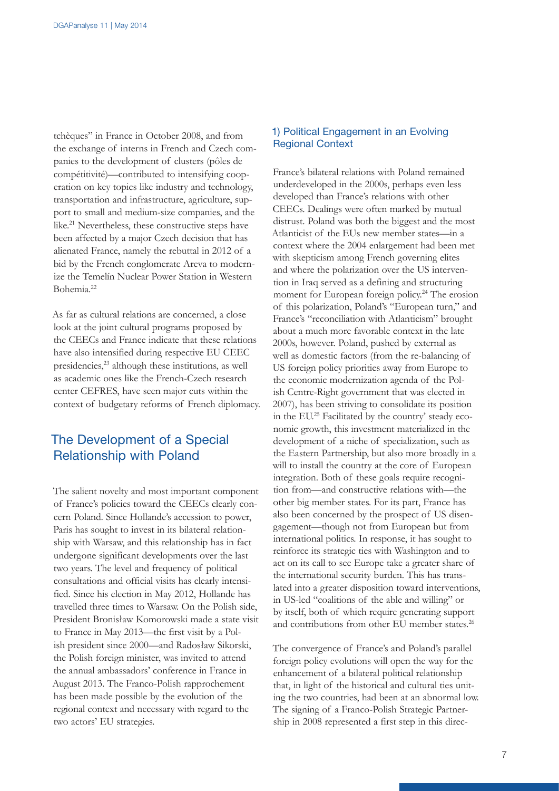tchèques" in France in October 2008, and from the exchange of interns in French and Czech companies to the development of clusters (pôles de compétitivité)—contributed to intensifying cooperation on key topics like industry and technology, transportation and infrastructure, agriculture, support to small and medium-size companies, and the like.21 Nevertheless, these constructive steps have been affected by a major Czech decision that has alienated France, namely the rebuttal in 2012 of a bid by the French conglomerate Areva to modernize the Temelín Nuclear Power Station in Western Bohemia.22

As far as cultural relations are concerned, a close look at the joint cultural programs proposed by the CEECs and France indicate that these relations have also intensified during respective EU CEEC presidencies,23 although these institutions, as well as academic ones like the French-Czech research center CEFRES, have seen major cuts within the context of budgetary reforms of French diplomacy.

## The Development of a Special Relationship with Poland

The salient novelty and most important component of France's policies toward the CEECs clearly concern Poland. Since Hollande's accession to power, Paris has sought to invest in its bilateral relationship with Warsaw, and this relationship has in fact undergone significant developments over the last two years. The level and frequency of political consultations and official visits has clearly intensified. Since his election in May 2012, Hollande has travelled three times to Warsaw. On the Polish side, President Bronisław Komorowski made a state visit to France in May 2013—the first visit by a Polish president since 2000—and Radosław Sikorski, the Polish foreign minister, was invited to attend the annual ambassadors' conference in France in August 2013. The Franco-Polish rapprochement has been made possible by the evolution of the regional context and necessary with regard to the two actors' EU strategies.

#### 1) Political Engagement in an Evolving Regional Context

France's bilateral relations with Poland remained underdeveloped in the 2000s, perhaps even less developed than France's relations with other CEECs. Dealings were often marked by mutual distrust. Poland was both the biggest and the most Atlanticist of the EUs new member states—in a context where the 2004 enlargement had been met with skepticism among French governing elites and where the polarization over the US intervention in Iraq served as a defining and structuring moment for European foreign policy.<sup>24</sup> The erosion of this polarization, Poland's "European turn," and France's "reconciliation with Atlanticism" brought about a much more favorable context in the late 2000s, however. Poland, pushed by external as well as domestic factors (from the re-balancing of US foreign policy priorities away from Europe to the economic modernization agenda of the Polish Centre-Right government that was elected in 2007), has been striving to consolidate its position in the EU.25 Facilitated by the country' steady economic growth, this investment materialized in the development of a niche of specialization, such as the Eastern Partnership, but also more broadly in a will to install the country at the core of European integration. Both of these goals require recognition from—and constructive relations with—the other big member states. For its part, France has also been concerned by the prospect of US disengagement—though not from European but from international politics. In response, it has sought to reinforce its strategic ties with Washington and to act on its call to see Europe take a greater share of the international security burden. This has translated into a greater disposition toward interventions, in US-led "coalitions of the able and willing" or by itself, both of which require generating support and contributions from other EU member states.26

The convergence of France's and Poland's parallel foreign policy evolutions will open the way for the enhancement of a bilateral political relationship that, in light of the historical and cultural ties uniting the two countries, had been at an abnormal low. The signing of a Franco-Polish Strategic Partnership in 2008 represented a first step in this direc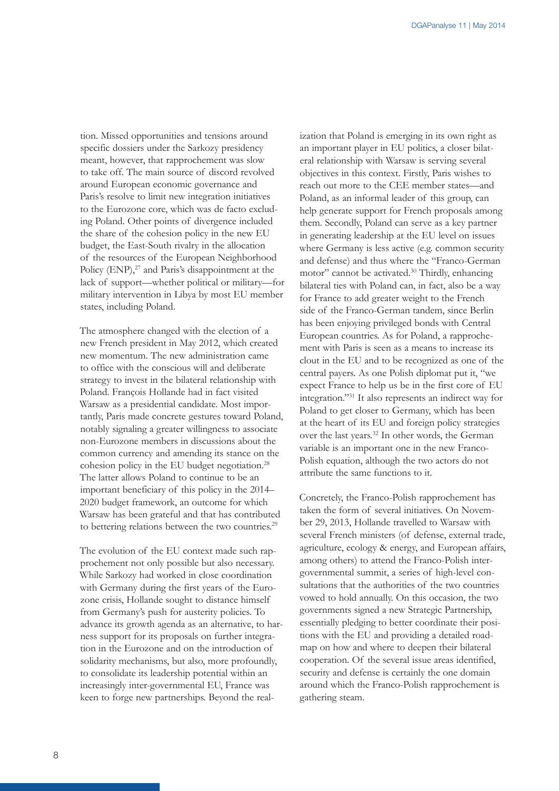tion. Missed opportunities and tensions around specific dossiers under the Sarkozy presidency meant, however, that rapprochement was slow to take off. The main source of discord revolved around European economic governance and Paris's resolve to limit new integration initiatives to the Eurozone core, which was de facto excluding Poland. Other points of divergence included the share of the cohesion policy in the new EU budget, the East-South rivalry in the allocation of the resources of the European Neighborhood Policy (ENP),<sup>27</sup> and Paris's disappointment at the lack of support—whether political or military—for military intervention in Libya by most EU member states, including Poland.

The atmosphere changed with the election of a new French president in May 2012, which created new momentum. The new administration came to office with the conscious will and deliberate strategy to invest in the bilateral relationship with Poland. François Hollande had in fact visited Warsaw as a presidential candidate. Most importantly, Paris made concrete gestures toward Poland, notably signaling a greater willingness to associate non-Eurozone members in discussions about the common currency and amending its stance on the cohesion policy in the EU budget negotiation.28 The latter allows Poland to continue to be an important beneficiary of this policy in the 2014– 2020 budget framework, an outcome for which Warsaw has been grateful and that has contributed to bettering relations between the two countries.<sup>29</sup>

The evolution of the EU context made such rapprochement not only possible but also necessary. While Sarkozy had worked in close coordination with Germany during the first years of the Eurozone crisis, Hollande sought to distance himself from Germany's push for austerity policies. To advance its growth agenda as an alternative, to harness support for its proposals on further integration in the Eurozone and on the introduction of solidarity mechanisms, but also, more profoundly, to consolidate its leadership potential within an increasingly inter-governmental EU, France was keen to forge new partnerships. Beyond the real-

ization that Poland is emerging in its own right as an important player in EU politics, a closer bilateral relationship with Warsaw is serving several objectives in this context. Firstly, Paris wishes to reach out more to the CEE member states—and Poland, as an informal leader of this group, can help generate support for French proposals among them. Secondly, Poland can serve as a key partner in generating leadership at the EU level on issues where Germany is less active (e.g. common security and defense) and thus where the "Franco-German motor" cannot be activated.30 Thirdly, enhancing bilateral ties with Poland can, in fact, also be a way for France to add greater weight to the French side of the Franco-German tandem, since Berlin has been enjoying privileged bonds with Central European countries. As for Poland, a rapprochement with Paris is seen as a means to increase its clout in the EU and to be recognized as one of the central payers. As one Polish diplomat put it, "we expect France to help us be in the first core of EU integration."31 It also represents an indirect way for Poland to get closer to Germany, which has been at the heart of its EU and foreign policy strategies over the last years.32 In other words, the German variable is an important one in the new Franco-Polish equation, although the two actors do not attribute the same functions to it.

Concretely, the Franco-Polish rapprochement has taken the form of several initiatives. On November 29, 2013, Hollande travelled to Warsaw with several French ministers (of defense, external trade, agriculture, ecology & energy, and European affairs, among others) to attend the Franco-Polish intergovernmental summit, a series of high-level consultations that the authorities of the two countries vowed to hold annually. On this occasion, the two governments signed a new Strategic Partnership, essentially pledging to better coordinate their positions with the EU and providing a detailed roadmap on how and where to deepen their bilateral cooperation. Of the several issue areas identified, security and defense is certainly the one domain around which the Franco-Polish rapprochement is gathering steam.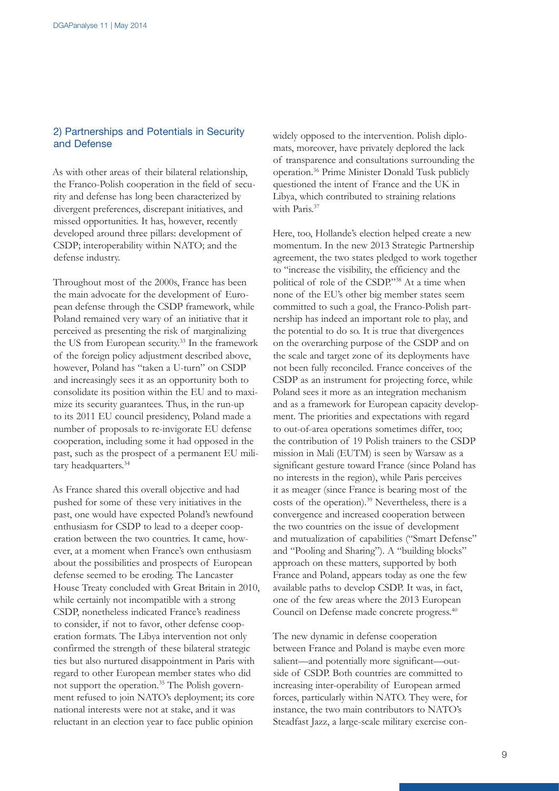#### 2) Partnerships and Potentials in Security and Defense

As with other areas of their bilateral relationship, the Franco-Polish cooperation in the field of security and defense has long been characterized by divergent preferences, discrepant initiatives, and missed opportunities. It has, however, recently developed around three pillars: development of CSDP; interoperability within NATO; and the defense industry.

Throughout most of the 2000s, France has been the main advocate for the development of European defense through the CSDP framework, while Poland remained very wary of an initiative that it perceived as presenting the risk of marginalizing the US from European security.<sup>33</sup> In the framework of the foreign policy adjustment described above, however, Poland has "taken a U-turn" on CSDP and increasingly sees it as an opportunity both to consolidate its position within the EU and to maximize its security guarantees. Thus, in the run-up to its 2011 EU council presidency, Poland made a number of proposals to re-invigorate EU defense cooperation, including some it had opposed in the past, such as the prospect of a permanent EU military headquarters.34

As France shared this overall objective and had pushed for some of these very initiatives in the past, one would have expected Poland's newfound enthusiasm for CSDP to lead to a deeper cooperation between the two countries. It came, however, at a moment when France's own enthusiasm about the possibilities and prospects of European defense seemed to be eroding. The Lancaster House Treaty concluded with Great Britain in 2010, while certainly not incompatible with a strong CSDP, nonetheless indicated France's readiness to consider, if not to favor, other defense cooperation formats. The Libya intervention not only confirmed the strength of these bilateral strategic ties but also nurtured disappointment in Paris with regard to other European member states who did not support the operation.35 The Polish government refused to join NATO's deployment; its core national interests were not at stake, and it was reluctant in an election year to face public opinion

widely opposed to the intervention. Polish diplomats, moreover, have privately deplored the lack of transparence and consultations surrounding the operation.36 Prime Minister Donald Tusk publicly questioned the intent of France and the UK in Libya, which contributed to straining relations with Paris.<sup>37</sup>

Here, too, Hollande's election helped create a new momentum. In the new 2013 Strategic Partnership agreement, the two states pledged to work together to "increase the visibility, the efficiency and the political of role of the CSDP."38 At a time when none of the EU's other big member states seem committed to such a goal, the Franco-Polish partnership has indeed an important role to play, and the potential to do so. It is true that divergences on the overarching purpose of the CSDP and on the scale and target zone of its deployments have not been fully reconciled. France conceives of the CSDP as an instrument for projecting force, while Poland sees it more as an integration mechanism and as a framework for European capacity development. The priorities and expectations with regard to out-of-area operations sometimes differ, too; the contribution of 19 Polish trainers to the CSDP mission in Mali (EUTM) is seen by Warsaw as a significant gesture toward France (since Poland has no interests in the region), while Paris perceives it as meager (since France is bearing most of the costs of the operation).<sup>39</sup> Nevertheless, there is a convergence and increased cooperation between the two countries on the issue of development and mutualization of capabilities ("Smart Defense" and "Pooling and Sharing"). A "building blocks" approach on these matters, supported by both France and Poland, appears today as one the few available paths to develop CSDP. It was, in fact, one of the few areas where the 2013 European Council on Defense made concrete progress.<sup>40</sup>

The new dynamic in defense cooperation between France and Poland is maybe even more salient—and potentially more significant—outside of CSDP. Both countries are committed to increasing inter-operability of European armed forces, particularly within NATO. They were, for instance, the two main contributors to NATO's Steadfast Jazz, a large-scale military exercise con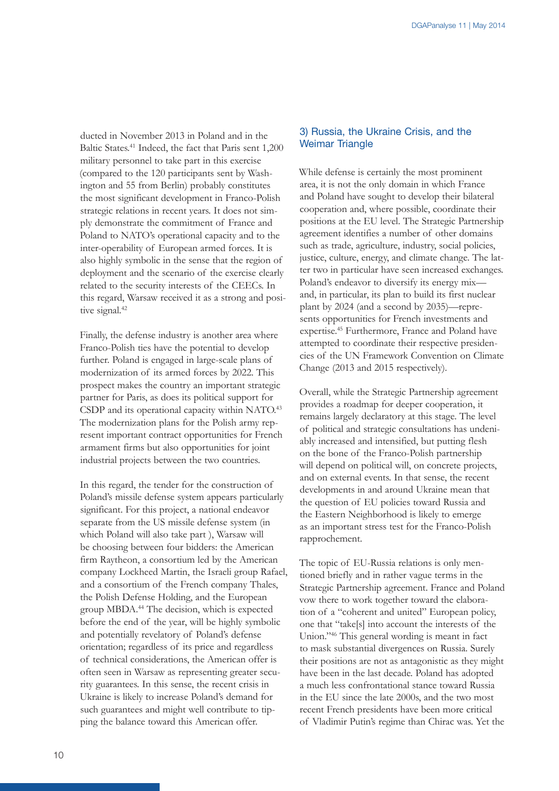ducted in November 2013 in Poland and in the Baltic States.41 Indeed, the fact that Paris sent 1,200 military personnel to take part in this exercise (compared to the 120 participants sent by Washington and 55 from Berlin) probably constitutes the most significant development in Franco-Polish strategic relations in recent years. It does not simply demonstrate the commitment of France and Poland to NATO's operational capacity and to the inter-operability of European armed forces. It is also highly symbolic in the sense that the region of deployment and the scenario of the exercise clearly related to the security interests of the CEECs. In this regard, Warsaw received it as a strong and positive signal.<sup>42</sup>

Finally, the defense industry is another area where Franco-Polish ties have the potential to develop further. Poland is engaged in large-scale plans of modernization of its armed forces by 2022. This prospect makes the country an important strategic partner for Paris, as does its political support for CSDP and its operational capacity within NATO.<sup>43</sup> The modernization plans for the Polish army represent important contract opportunities for French armament firms but also opportunities for joint industrial projects between the two countries.

In this regard, the tender for the construction of Poland's missile defense system appears particularly significant. For this project, a national endeavor separate from the US missile defense system (in which Poland will also take part ), Warsaw will be choosing between four bidders: the American firm Raytheon, a consortium led by the American company Lockheed Martin, the Israeli group Rafael, and a consortium of the French company Thales, the Polish Defense Holding, and the European group MBDA.44 The decision, which is expected before the end of the year, will be highly symbolic and potentially revelatory of Poland's defense orientation; regardless of its price and regardless of technical considerations, the American offer is often seen in Warsaw as representing greater security guarantees. In this sense, the recent crisis in Ukraine is likely to increase Poland's demand for such guarantees and might well contribute to tipping the balance toward this American offer.

#### 3) Russia, the Ukraine Crisis, and the Weimar Triangle

While defense is certainly the most prominent area, it is not the only domain in which France and Poland have sought to develop their bilateral cooperation and, where possible, coordinate their positions at the EU level. The Strategic Partnership agreement identifies a number of other domains such as trade, agriculture, industry, social policies, justice, culture, energy, and climate change. The latter two in particular have seen increased exchanges. Poland's endeavor to diversify its energy mix and, in particular, its plan to build its first nuclear plant by 2024 (and a second by 2035)—represents opportunities for French investments and expertise.45 Furthermore, France and Poland have attempted to coordinate their respective presidencies of the UN Framework Convention on Climate Change (2013 and 2015 respectively).

Overall, while the Strategic Partnership agreement provides a roadmap for deeper cooperation, it remains largely declaratory at this stage. The level of political and strategic consultations has undeniably increased and intensified, but putting flesh on the bone of the Franco-Polish partnership will depend on political will, on concrete projects, and on external events. In that sense, the recent developments in and around Ukraine mean that the question of EU policies toward Russia and the Eastern Neighborhood is likely to emerge as an important stress test for the Franco-Polish rapprochement.

The topic of EU-Russia relations is only mentioned briefly and in rather vague terms in the Strategic Partnership agreement. France and Poland vow there to work together toward the elaboration of a "coherent and united" European policy, one that "take[s] into account the interests of the Union."46 This general wording is meant in fact to mask substantial divergences on Russia. Surely their positions are not as antagonistic as they might have been in the last decade. Poland has adopted a much less confrontational stance toward Russia in the EU since the late 2000s, and the two most recent French presidents have been more critical of Vladimir Putin's regime than Chirac was. Yet the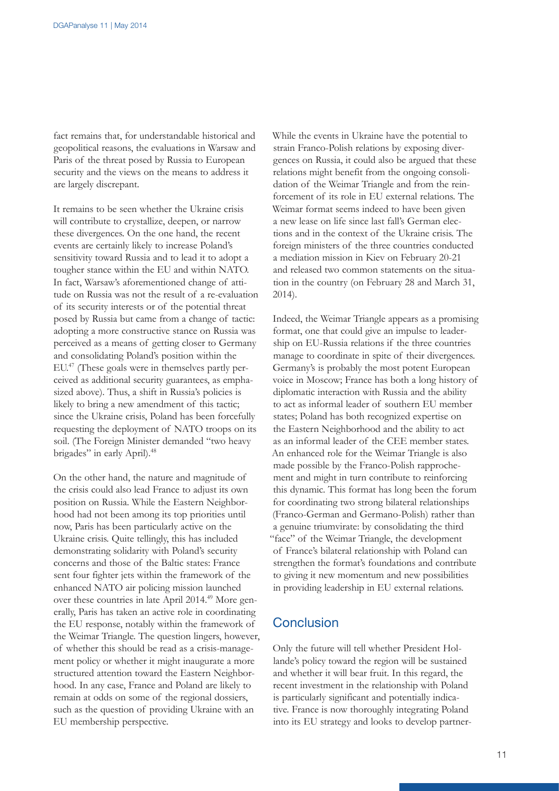fact remains that, for understandable historical and geopolitical reasons, the evaluations in Warsaw and Paris of the threat posed by Russia to European security and the views on the means to address it are largely discrepant.

It remains to be seen whether the Ukraine crisis will contribute to crystallize, deepen, or narrow these divergences. On the one hand, the recent events are certainly likely to increase Poland's sensitivity toward Russia and to lead it to adopt a tougher stance within the EU and within NATO. In fact, Warsaw's aforementioned change of attitude on Russia was not the result of a re-evaluation of its security interests or of the potential threat posed by Russia but came from a change of tactic: adopting a more constructive stance on Russia was perceived as a means of getting closer to Germany and consolidating Poland's position within the EU.47 (These goals were in themselves partly perceived as additional security guarantees, as emphasized above). Thus, a shift in Russia's policies is likely to bring a new amendment of this tactic; since the Ukraine crisis, Poland has been forcefully requesting the deployment of NATO troops on its soil. (The Foreign Minister demanded "two heavy brigades" in early April).<sup>48</sup>

On the other hand, the nature and magnitude of the crisis could also lead France to adjust its own position on Russia. While the Eastern Neighborhood had not been among its top priorities until now, Paris has been particularly active on the Ukraine crisis. Quite tellingly, this has included demonstrating solidarity with Poland's security concerns and those of the Baltic states: France sent four fighter jets within the framework of the enhanced NATO air policing mission launched over these countries in late April 2014.49 More generally, Paris has taken an active role in coordinating the EU response, notably within the framework of the Weimar Triangle. The question lingers, however, of whether this should be read as a crisis-management policy or whether it might inaugurate a more structured attention toward the Eastern Neighborhood. In any case, France and Poland are likely to remain at odds on some of the regional dossiers, such as the question of providing Ukraine with an EU membership perspective.

While the events in Ukraine have the potential to strain Franco-Polish relations by exposing divergences on Russia, it could also be argued that these relations might benefit from the ongoing consolidation of the Weimar Triangle and from the reinforcement of its role in EU external relations. The Weimar format seems indeed to have been given a new lease on life since last fall's German elections and in the context of the Ukraine crisis. The foreign ministers of the three countries conducted a mediation mission in Kiev on February 20-21 and released two common statements on the situation in the country (on February 28 and March 31, 2014).

Indeed, the Weimar Triangle appears as a promising format, one that could give an impulse to leadership on EU-Russia relations if the three countries manage to coordinate in spite of their divergences. Germany's is probably the most potent European voice in Moscow; France has both a long history of diplomatic interaction with Russia and the ability to act as informal leader of southern EU member states; Poland has both recognized expertise on the Eastern Neighborhood and the ability to act as an informal leader of the CEE member states. An enhanced role for the Weimar Triangle is also made possible by the Franco-Polish rapprochement and might in turn contribute to reinforcing this dynamic. This format has long been the forum for coordinating two strong bilateral relationships (Franco-German and Germano-Polish) rather than a genuine triumvirate: by consolidating the third "face" of the Weimar Triangle, the development of France's bilateral relationship with Poland can strengthen the format's foundations and contribute to giving it new momentum and new possibilities in providing leadership in EU external relations.

# **Conclusion**

Only the future will tell whether President Hollande's policy toward the region will be sustained and whether it will bear fruit. In this regard, the recent investment in the relationship with Poland is particularly significant and potentially indicative. France is now thoroughly integrating Poland into its EU strategy and looks to develop partner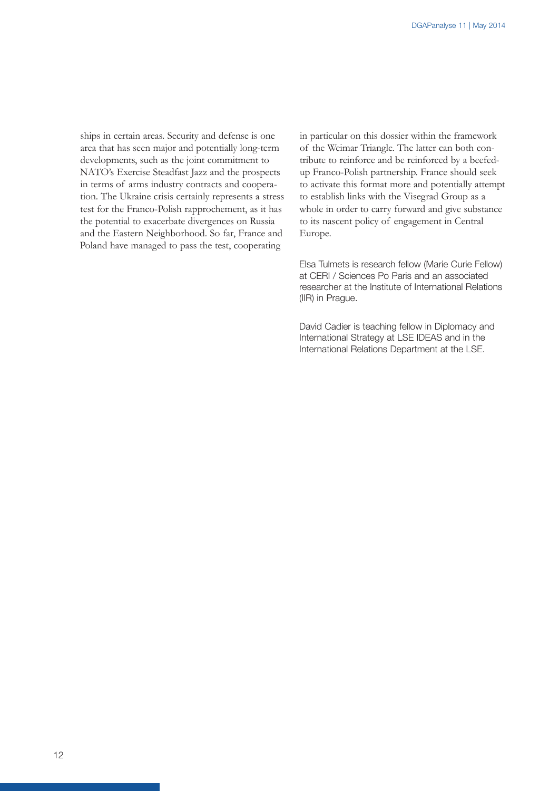ships in certain areas. Security and defense is one area that has seen major and potentially long-term developments, such as the joint commitment to NATO's Exercise Steadfast Jazz and the prospects in terms of arms industry contracts and cooperation. The Ukraine crisis certainly represents a stress test for the Franco-Polish rapprochement, as it has the potential to exacerbate divergences on Russia and the Eastern Neighborhood. So far, France and Poland have managed to pass the test, cooperating

in particular on this dossier within the framework of the Weimar Triangle. The latter can both contribute to reinforce and be reinforced by a beefedup Franco-Polish partnership. France should seek to activate this format more and potentially attempt to establish links with the Visegrad Group as a whole in order to carry forward and give substance to its nascent policy of engagement in Central Europe.

Elsa Tulmets is research fellow (Marie Curie Fellow) at CERI / Sciences Po Paris and an associated researcher at the Institute of International Relations (IIR) in Prague.

David Cadier is teaching fellow in Diplomacy and International Strategy at LSE IDEAS and in the International Relations Department at the LSE.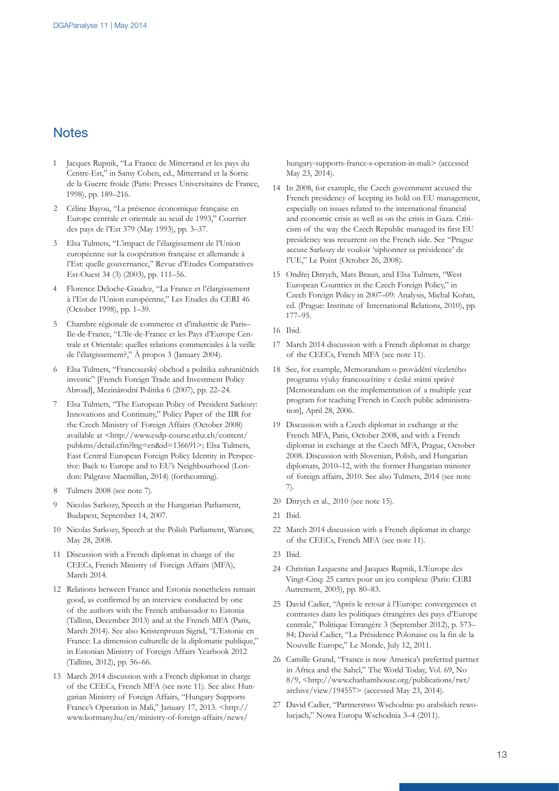## **Notes**

- 1 Jacques Rupnik, "La France de Mitterrand et les pays du Centre-Est," in Samy Cohen, ed., Mitterrand et la Sortie de la Guerre froide (Paris: Presses Universitaires de France, 1998), pp. 189–216.
- 2 Céline Bayou, "La présence économique française en Europe centrale et orientale au seuil de 1993," Courrier des pays de l'Est 379 (May 1993), pp. 3–37.
- 3 Elsa Tulmets, "L'impact de l'élargissement de l'Union européenne sur la coopération française et allemande à l'Est: quelle gouvernance," Revue d'Etudes Comparatives Est-Ouest 34 (3) (2003), pp. 111–56.
- 4 Florence Deloche-Gaudez, "La France et l'élargissement à l'Est de l'Union européenne," Les Etudes du CERI 46 (October 1998), pp. 1–39.
- 5 Chambre régionale de commerce et d'industrie de Paris– Ile-de-France, "L'Ile-de-France et les Pays d'Europe Centrale et Orientale: quelles relations commerciales à la veille de l'élargissement?," À propos 3 (January 2004).
- 6 Elsa Tulmets, "Francouzský obchod a politika zahraničních investic" [French Foreign Trade and Investment Policy Abroad], Mezinárodní Politika 6 (2007), pp. 22–24.
- 7 Elsa Tulmets, "The European Policy of President Sarkozy: Innovations and Continuity," Policy Paper of the IIR for the Czech Ministry of Foreign Affairs (October 2008) available at <http://www.esdp-course.ethz.ch/content/ pubkms/detail.cfm?lng=en&id=136691>; Elsa Tulmets, East Central European Foreign Policy Identity in Perspective: Back to Europe and to EU's Neighbourhood (London: Palgrave Macmillan, 2014) (forthcoming).
- 8 Tulmets 2008 (see note 7).
- 9 Nicolas Sarkozy, Speech at the Hungarian Parliament, Budapest, September 14, 2007.
- 10 Nicolas Sarkozy, Speech at the Polish Parliament, Warsaw, May 28, 2008.
- 11 Discussion with a French diplomat in charge of the CEECs, French Ministry of Foreign Affairs (MFA), March 2014.
- 12 Relations between France and Estonia nonetheless remain good, as confirmed by an interview conducted by one of the authors with the French ambassador to Estonia (Tallinn, December 2013) and at the French MFA (Paris, March 2014). See also Kristenpruun Sigrid, "L'Estonie en France: La dimension culturelle de la diplomatie publique," in Estonian Ministry of Foreign Affairs Yearbook 2012 (Tallinn, 2012), pp. 56–66.
- 13 March 2014 discussion with a French diplomat in charge of the CEECs, French MFA (see note 11). See also: Hungarian Ministry of Foreign Affairs, "Hungary Supports France's Operation in Mali," January 17, 2013. [<http://](http://www.kormany.hu/en/ministry-of-foreign-affairs/news/hungary-supports-france-s-operation-in-mali) [www.kormany.hu/en/ministry-of-foreign-affairs/news/](http://www.kormany.hu/en/ministry-of-foreign-affairs/news/hungary-supports-france-s-operation-in-mali)

[hungary-supports-france-s-operation-in-mali>](http://www.kormany.hu/en/ministry-of-foreign-affairs/news/hungary-supports-france-s-operation-in-mali) (accessed May 23, 2014).

- 14 In 2008, for example, the Czech government accused the French presidency of keeping its hold on EU management, especially on issues related to the international financial and economic crisis as well as on the crisis in Gaza. Criticism of the way the Czech Republic managed its first EU presidency was recurrent on the French side. See "Prague accuse Sarkozy de vouloir 'siphonner sa présidence' de l'UE," Le Point (October 26, 2008).
- 15 Ondřej Ditrych, Mats Braun, and Elsa Tulmets, "West European Countries in the Czech Foreign Policy," in Czech Foreign Policy in 2007–09: Analysis, Michal Kořan, ed. (Prague: Institute of International Relations, 2010), pp. 177–95.
- 16 Ibid.
- 17 March 2014 discussion with a French diplomat in charge of the CEECs, French MFA (see note 11).
- 18 See, for example, Memorandum o provádění víceletého programu výuky francouzštiny v české státní správě [Memorandum on the implementation of a multiple year program for teaching French in Czech public administration], April 28, 2006.
- 19 Discussion with a Czech diplomat in exchange at the French MFA, Paris, October 2008, and with a French diplomat in exchange at the Czech MFA, Prague, October 2008. Discussion with Slovenian, Polish, and Hungarian diplomats, 2010–12, with the former Hungarian minister of foreign affairs, 2010. See also Tulmets, 2014 (see note 7).
- 20 Ditrych et al., 2010 (see note 15).
- 21 Ibid.
- 22 March 2014 discussion with a French diplomat in charge of the CEECs, French MFA (see note 11).
- 23 Ibid.
- 24 Christian Lequesne and Jacques Rupnik, L'Europe des Vingt-Cinq: 25 cartes pour un jeu complexe (Paris: CERI Autrement, 2005), pp. 80–83.
- 25 David Cadier, "Après le retour à l'Europe: convergences et contrastes dans les politiques étrangères des pays d'Europe centrale," Politique Etrangère 3 (September 2012), p. 573– 84; David Cadier, "La Présidence Polonaise ou la fin de la Nouvelle Europe," Le Monde, July 12, 2011.
- 26 Camille Grand, "France is now America's preferred partner in Africa and the Sahel," The World Today, Vol. 69, No 8/9, [<http://www.chathamhouse.org/publications/twt/](http://www.chathamhouse.org/publications/twt/archive/view/194557) [archive/view/194557](http://www.chathamhouse.org/publications/twt/archive/view/194557)> (accessed May 23, 2014).
- 27 David Cadier, "Partnerstwo Wschodnie po arabskich rewolucjach," Nowa Europa Wschodnia 3–4 (2011).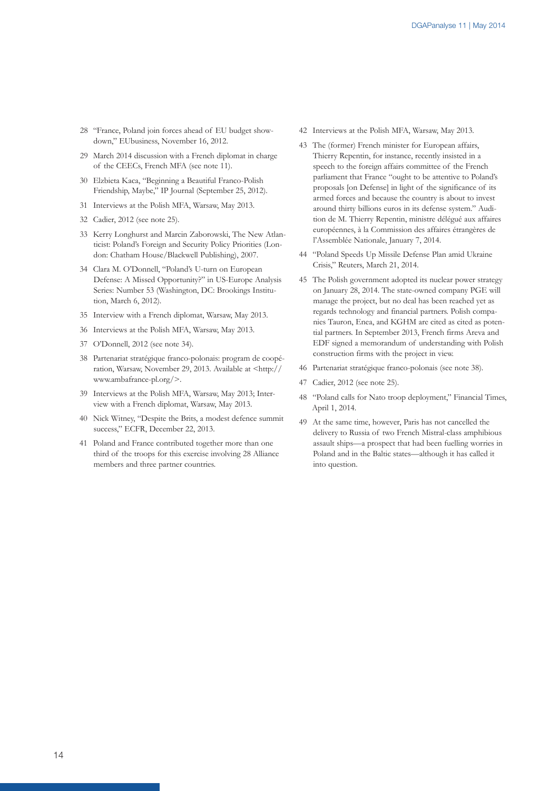- 28 "France, Poland join forces ahead of EU budget showdown," EUbusiness, November 16, 2012.
- 29 March 2014 discussion with a French diplomat in charge of the CEECs, French MFA (see note 11).
- 30 Elzbieta Kaca, "Beginning a Beautiful Franco-Polish Friendship, Maybe," IP Journal (September 25, 2012).
- 31 Interviews at the Polish MFA, Warsaw, May 2013.
- 32 Cadier, 2012 (see note 25).
- 33 Kerry Longhurst and Marcin Zaborowski, The New Atlanticist: Poland's Foreign and Security Policy Priorities (London: Chatham House/Blackwell Publishing), 2007.
- 34 Clara M. O'Donnell, "Poland's U-turn on European Defense: A Missed Opportunity?" in US-Europe Analysis Series: Number 53 (Washington, DC: Brookings Institution, March 6, 2012).
- 35 Interview with a French diplomat, Warsaw, May 2013.
- 36 Interviews at the Polish MFA, Warsaw, May 2013.
- 37 O'Donnell, 2012 (see note 34).
- 38 Partenariat stratégique franco-polonais: program de coopération, Warsaw, November 29, 2013. Available at [<http://](http://www.ambafrance-pl.org/) [www.ambafrance-pl.org/>](http://www.ambafrance-pl.org/).
- 39 Interviews at the Polish MFA, Warsaw, May 2013; Interview with a French diplomat, Warsaw, May 2013.
- 40 Nick Witney, "Despite the Brits, a modest defence summit success," ECFR, December 22, 2013.
- 41 Poland and France contributed together more than one third of the troops for this exercise involving 28 Alliance members and three partner countries.
- 42 Interviews at the Polish MFA, Warsaw, May 2013.
- 43 The (former) French minister for European affairs, Thierry Repentin, for instance, recently insisted in a speech to the foreign affairs committee of the French parliament that France "ought to be attentive to Poland's proposals [on Defense] in light of the significance of its armed forces and because the country is about to invest around thirty billions euros in its defense system." Audition de M. Thierry Repentin, ministre délégué aux affaires européennes, à la Commission des affaires étrangères de l'Assemblée Nationale, January 7, 2014.
- 44 "Poland Speeds Up Missile Defense Plan amid Ukraine Crisis," Reuters, March 21, 2014.
- 45 The Polish government adopted its nuclear power strategy on January 28, 2014. The state-owned company PGE will manage the project, but no deal has been reached yet as regards technology and financial partners. Polish companies Tauron, Enea, and KGHM are cited as cited as potential partners. In September 2013, French firms Areva and EDF signed a memorandum of understanding with Polish construction firms with the project in view.
- 46 Partenariat stratégique franco-polonais (see note 38).
- 47 Cadier, 2012 (see note 25).
- 48 "Poland calls for Nato troop deployment," Financial Times, April 1, 2014.
- 49 At the same time, however, Paris has not cancelled the delivery to Russia of two French Mistral-class amphibious assault ships—a prospect that had been fuelling worries in Poland and in the Baltic states—although it has called it into question.